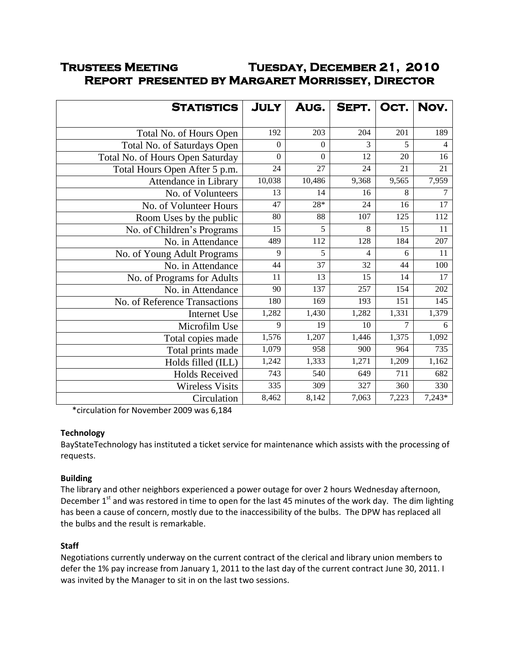# **Trustees Meeting Tuesday, December 21, 2010 Report presented by Margaret Morrissey, Director**

| <b>STATISTICS</b>                | <b>JULY</b>      | AUG.             | SEPT.          | OCT.  | Nov.     |
|----------------------------------|------------------|------------------|----------------|-------|----------|
|                                  |                  |                  |                |       |          |
| Total No. of Hours Open          | 192              | 203              | 204            | 201   | 189      |
| Total No. of Saturdays Open      | $\overline{0}$   | $\overline{0}$   | 3              | 5     | 4        |
| Total No. of Hours Open Saturday | $\boldsymbol{0}$ | $\boldsymbol{0}$ | 12             | 20    | 16       |
| Total Hours Open After 5 p.m.    | 24               | 27               | 24             | 21    | 21       |
| Attendance in Library            | 10,038           | 10,486           | 9,368          | 9,565 | 7,959    |
| No. of Volunteers                | 13               | 14               | 16             | 8     | 7        |
| No. of Volunteer Hours           | 47               | $28*$            | 24             | 16    | 17       |
| Room Uses by the public          | 80               | 88               | 107            | 125   | 112      |
| No. of Children's Programs       | 15               | 5                | 8              | 15    | 11       |
| No. in Attendance                | 489              | 112              | 128            | 184   | 207      |
| No. of Young Adult Programs      | 9                | 5                | $\overline{4}$ | 6     | $11\,$   |
| No. in Attendance                | 44               | 37               | 32             | 44    | 100      |
| No. of Programs for Adults       | 11               | 13               | 15             | 14    | 17       |
| No. in Attendance                | 90               | 137              | 257            | 154   | 202      |
| No. of Reference Transactions    | 180              | 169              | 193            | 151   | 145      |
| Internet Use                     | 1,282            | 1,430            | 1,282          | 1,331 | 1,379    |
| Microfilm Use                    | 9                | 19               | 10             | 7     | 6        |
| Total copies made                | 1,576            | 1,207            | 1,446          | 1,375 | 1,092    |
| Total prints made                | 1,079            | 958              | 900            | 964   | 735      |
| Holds filled (ILL)               | 1,242            | 1,333            | 1,271          | 1,209 | 1,162    |
| <b>Holds Received</b>            | 743              | 540              | 649            | 711   | 682      |
| <b>Wireless Visits</b>           | 335              | 309              | 327            | 360   | 330      |
| Circulation                      | 8,462            | 8,142            | 7,063          | 7,223 | $7,243*$ |

\*circulation for November 2009 was 6,184

# **Technology**

BayStateTechnology has instituted a ticket service for maintenance which assists with the processing of requests.

# **Building**

The library and other neighbors experienced a power outage for over 2 hours Wednesday afternoon, December 1<sup>st</sup> and was restored in time to open for the last 45 minutes of the work day. The dim lighting has been a cause of concern, mostly due to the inaccessibility of the bulbs. The DPW has replaced all the bulbs and the result is remarkable.

# **Staff**

Negotiations currently underway on the current contract of the clerical and library union members to defer the 1% pay increase from January 1, 2011 to the last day of the current contract June 30, 2011. I was invited by the Manager to sit in on the last two sessions.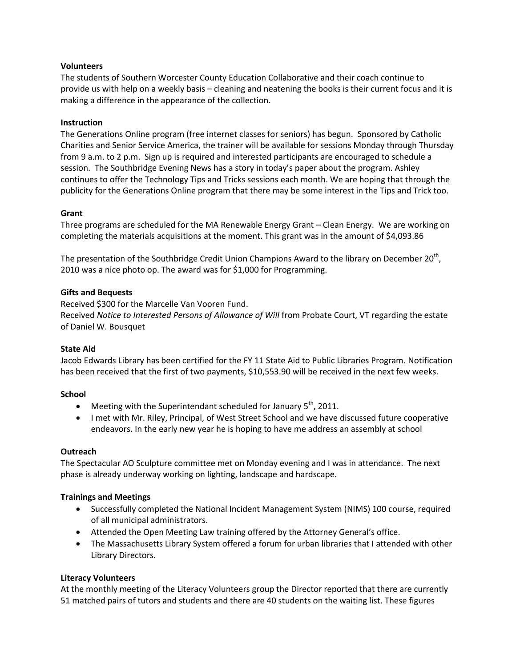# **Volunteers**

The students of Southern Worcester County Education Collaborative and their coach continue to provide us with help on a weekly basis – cleaning and neatening the books is their current focus and it is making a difference in the appearance of the collection.

## **Instruction**

The Generations Online program (free internet classes for seniors) has begun. Sponsored by Catholic Charities and Senior Service America, the trainer will be available for sessions Monday through Thursday from 9 a.m. to 2 p.m. Sign up is required and interested participants are encouraged to schedule a session. The Southbridge Evening News has a story in today's paper about the program. Ashley continues to offer the Technology Tips and Tricks sessions each month. We are hoping that through the publicity for the Generations Online program that there may be some interest in the Tips and Trick too.

## **Grant**

Three programs are scheduled for the MA Renewable Energy Grant – Clean Energy. We are working on completing the materials acquisitions at the moment. This grant was in the amount of \$4,093.86

The presentation of the Southbridge Credit Union Champions Award to the library on December 20<sup>th</sup>, 2010 was a nice photo op. The award was for \$1,000 for Programming.

## **Gifts and Bequests**

Received \$300 for the Marcelle Van Vooren Fund. Received *Notice to Interested Persons of Allowance of Will* from Probate Court, VT regarding the estate of Daniel W. Bousquet

#### **State Aid**

Jacob Edwards Library has been certified for the FY 11 State Aid to Public Libraries Program. Notification has been received that the first of two payments, \$10,553.90 will be received in the next few weeks.

#### **School**

- $\bullet$  Meeting with the Superintendant scheduled for January 5<sup>th</sup>, 2011.
- I met with Mr. Riley, Principal, of West Street School and we have discussed future cooperative endeavors. In the early new year he is hoping to have me address an assembly at school

#### **Outreach**

The Spectacular AO Sculpture committee met on Monday evening and I was in attendance. The next phase is already underway working on lighting, landscape and hardscape.

#### **Trainings and Meetings**

- Successfully completed the National Incident Management System (NIMS) 100 course, required of all municipal administrators.
- Attended the Open Meeting Law training offered by the Attorney General's office.
- The Massachusetts Library System offered a forum for urban libraries that I attended with other Library Directors.

# **Literacy Volunteers**

At the monthly meeting of the Literacy Volunteers group the Director reported that there are currently 51 matched pairs of tutors and students and there are 40 students on the waiting list. These figures